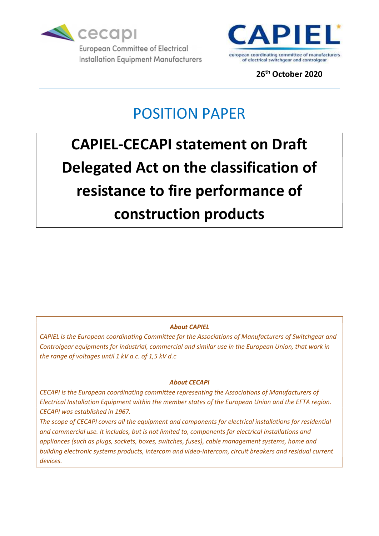



26th October 2020

## POSITION PAPER

# CAPIEL-CECAPI statement on Draft Delegated Act on the classification of resistance to fire performance of construction products

### About CAPIEL

CAPIEL is the European coordinating Committee for the Associations of Manufacturers of Switchgear and Controlgear equipments for industrial, commercial and similar use in the European Union, that work in the range of voltages until 1 kV a.c. of 1,5 kV d.c

#### About CECAPI

CECAPI is the European coordinating committee representing the Associations of Manufacturers of Electrical Installation Equipment within the member states of the European Union and the EFTA region. CECAPI was established in 1967.

The scope of CECAPI covers all the equipment and components for electrical installations for residential and commercial use. It includes, but is not limited to, components for electrical installations and appliances (such as plugs, sockets, boxes, switches, fuses), cable management systems, home and building electronic systems products, intercom and video-intercom, circuit breakers and residual current devices.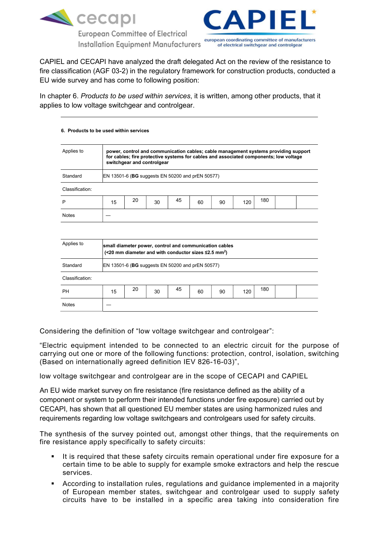

**European Committee of Electrical Installation Equipment Manufacturers** 



CAPIEL and CECAPI have analyzed the draft delegated Act on the review of the resistance to fire classification (AGF 03-2) in the regulatory framework for construction products, conducted a EU wide survey and has come to following position:

In chapter 6. Products to be used within services, it is written, among other products, that it applies to low voltage switchgear and controlgear.

#### 6. Products to be used within services

| Applies to<br>power, control and communication cables; cable management systems providing support<br>for cables; fire protective systems for cables and associated components; low voltage |                                                                                                                                  |    |    |    |    |    |     |     |  |  |  |
|--------------------------------------------------------------------------------------------------------------------------------------------------------------------------------------------|----------------------------------------------------------------------------------------------------------------------------------|----|----|----|----|----|-----|-----|--|--|--|
|                                                                                                                                                                                            | switchgear and controlgear                                                                                                       |    |    |    |    |    |     |     |  |  |  |
| Standard                                                                                                                                                                                   | EN 13501-6 (BG suggests EN 50200 and prEN 50577)                                                                                 |    |    |    |    |    |     |     |  |  |  |
| Classification:                                                                                                                                                                            |                                                                                                                                  |    |    |    |    |    |     |     |  |  |  |
| P                                                                                                                                                                                          | 15                                                                                                                               | 20 | 30 | 45 | 60 | 90 | 120 | 180 |  |  |  |
| <b>Notes</b>                                                                                                                                                                               |                                                                                                                                  |    |    |    |    |    |     |     |  |  |  |
|                                                                                                                                                                                            |                                                                                                                                  |    |    |    |    |    |     |     |  |  |  |
| Applies to                                                                                                                                                                                 | small diameter power, control and communication cables<br>(<20 mm diameter and with conductor sizes $\leq$ 2.5 mm <sup>2</sup> ) |    |    |    |    |    |     |     |  |  |  |
| Standard                                                                                                                                                                                   | EN 13501-6 (BG suggests EN 50200 and prEN 50577)                                                                                 |    |    |    |    |    |     |     |  |  |  |
| Classification:                                                                                                                                                                            |                                                                                                                                  |    |    |    |    |    |     |     |  |  |  |
| <b>PH</b>                                                                                                                                                                                  | 15                                                                                                                               | 20 | 30 | 45 | 60 | 90 | 120 | 180 |  |  |  |
| <b>Notes</b>                                                                                                                                                                               |                                                                                                                                  |    |    |    |    |    |     |     |  |  |  |

Considering the definition of "low voltage switchgear and controlgear":

"Electric equipment intended to be connected to an electric circuit for the purpose of carrying out one or more of the following functions: protection, control, isolation, switching (Based on internationally agreed definition IEV 826-16-03)",

low voltage switchgear and controlgear are in the scope of CECAPI and CAPIEL

An EU wide market survey on fire resistance (fire resistance defined as the ability of a component or system to perform their intended functions under fire exposure) carried out by CECAPI, has shown that all questioned EU member states are using harmonized rules and requirements regarding low voltage switchgears and controlgears used for safety circuits.

The synthesis of the survey pointed out, amongst other things, that the requirements on fire resistance apply specifically to safety circuits:

- It is required that these safety circuits remain operational under fire exposure for a certain time to be able to supply for example smoke extractors and help the rescue services.
- According to installation rules, regulations and guidance implemented in a majority of European member states, switchgear and controlgear used to supply safety circuits have to be installed in a specific area taking into consideration fire